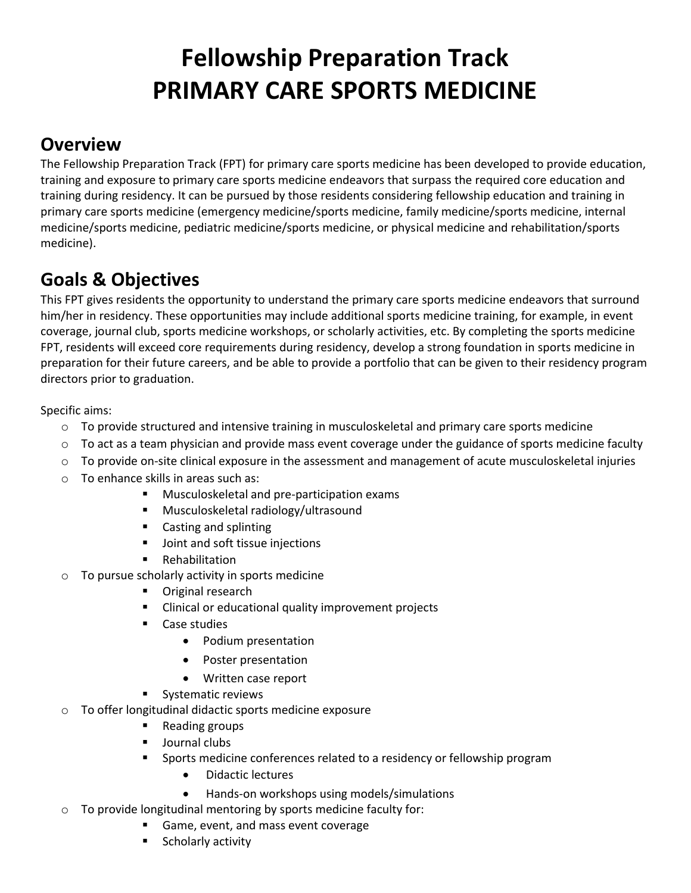# **Fellowship Preparation Track PRIMARY CARE SPORTS MEDICINE**

#### **Overview**

The Fellowship Preparation Track (FPT) for primary care sports medicine has been developed to provide education, training and exposure to primary care sports medicine endeavors that surpass the required core education and training during residency. It can be pursued by those residents considering fellowship education and training in primary care sports medicine (emergency medicine/sports medicine, family medicine/sports medicine, internal medicine/sports medicine, pediatric medicine/sports medicine, or physical medicine and rehabilitation/sports medicine).

## **Goals & Objectives**

This FPT gives residents the opportunity to understand the primary care sports medicine endeavors that surround him/her in residency. These opportunities may include additional sports medicine training, for example, in event coverage, journal club, sports medicine workshops, or scholarly activities, etc. By completing the sports medicine FPT, residents will exceed core requirements during residency, develop a strong foundation in sports medicine in preparation for their future careers, and be able to provide a portfolio that can be given to their residency program directors prior to graduation.

Specific aims:

- o To provide structured and intensive training in musculoskeletal and primary care sports medicine
- $\circ$  To act as a team physician and provide mass event coverage under the guidance of sports medicine faculty
- $\circ$  To provide on-site clinical exposure in the assessment and management of acute musculoskeletal injuries
- o To enhance skills in areas such as:
	- **Musculoskeletal and pre-participation exams**
	- Musculoskeletal radiology/ultrasound
	- Casting and splinting
	- **Joint and soft tissue injections**
	- **E** Rehabilitation
- o To pursue scholarly activity in sports medicine
	- **•** Original research
	- Clinical or educational quality improvement projects
	- Case studies
		- Podium presentation
		- Poster presentation
		- Written case report
	- Systematic reviews
- o To offer longitudinal didactic sports medicine exposure
	- Reading groups
	- **Journal clubs**
	- **Sports medicine conferences related to a residency or fellowship program** 
		- Didactic lectures
		- Hands-on workshops using models/simulations
- o To provide longitudinal mentoring by sports medicine faculty for:
	- Game, event, and mass event coverage
	- **Scholarly activity**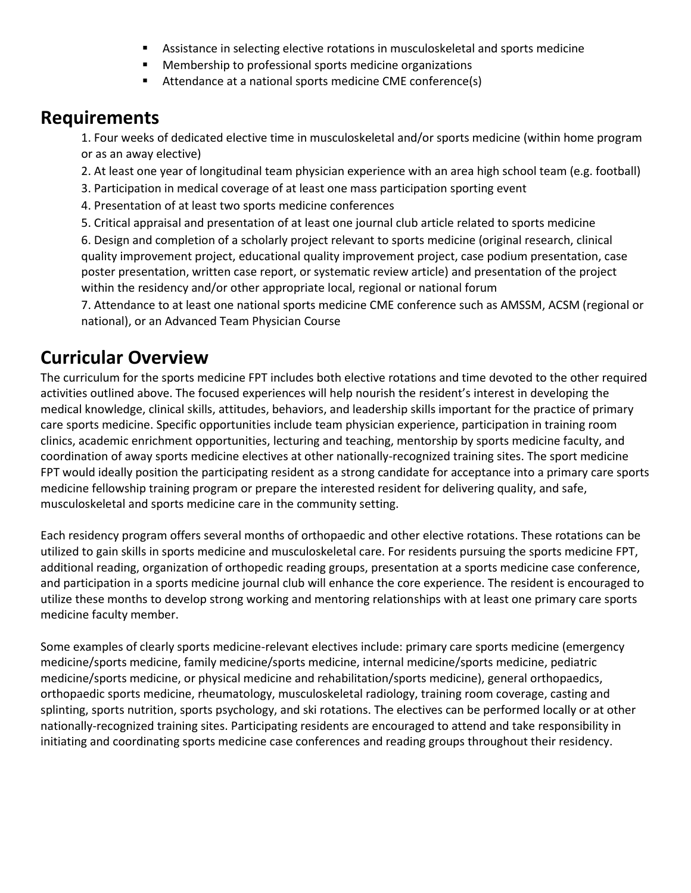- Assistance in selecting elective rotations in musculoskeletal and sports medicine
- **Membership to professional sports medicine organizations**
- Attendance at a national sports medicine CME conference(s)

#### **Requirements**

1. Four weeks of dedicated elective time in musculoskeletal and/or sports medicine (within home program or as an away elective)

- 2. At least one year of longitudinal team physician experience with an area high school team (e.g. football)
- 3. Participation in medical coverage of at least one mass participation sporting event
- 4. Presentation of at least two sports medicine conferences
- 5. Critical appraisal and presentation of at least one journal club article related to sports medicine

6. Design and completion of a scholarly project relevant to sports medicine (original research, clinical quality improvement project, educational quality improvement project, case podium presentation, case poster presentation, written case report, or systematic review article) and presentation of the project within the residency and/or other appropriate local, regional or national forum

7. Attendance to at least one national sports medicine CME conference such as AMSSM, ACSM (regional or national), or an Advanced Team Physician Course

#### **Curricular Overview**

The curriculum for the sports medicine FPT includes both elective rotations and time devoted to the other required activities outlined above. The focused experiences will help nourish the resident's interest in developing the medical knowledge, clinical skills, attitudes, behaviors, and leadership skills important for the practice of primary care sports medicine. Specific opportunities include team physician experience, participation in training room clinics, academic enrichment opportunities, lecturing and teaching, mentorship by sports medicine faculty, and coordination of away sports medicine electives at other nationally-recognized training sites. The sport medicine FPT would ideally position the participating resident as a strong candidate for acceptance into a primary care sports medicine fellowship training program or prepare the interested resident for delivering quality, and safe, musculoskeletal and sports medicine care in the community setting.

Each residency program offers several months of orthopaedic and other elective rotations. These rotations can be utilized to gain skills in sports medicine and musculoskeletal care. For residents pursuing the sports medicine FPT, additional reading, organization of orthopedic reading groups, presentation at a sports medicine case conference, and participation in a sports medicine journal club will enhance the core experience. The resident is encouraged to utilize these months to develop strong working and mentoring relationships with at least one primary care sports medicine faculty member.

Some examples of clearly sports medicine-relevant electives include: primary care sports medicine (emergency medicine/sports medicine, family medicine/sports medicine, internal medicine/sports medicine, pediatric medicine/sports medicine, or physical medicine and rehabilitation/sports medicine), general orthopaedics, orthopaedic sports medicine, rheumatology, musculoskeletal radiology, training room coverage, casting and splinting, sports nutrition, sports psychology, and ski rotations. The electives can be performed locally or at other nationally-recognized training sites. Participating residents are encouraged to attend and take responsibility in initiating and coordinating sports medicine case conferences and reading groups throughout their residency.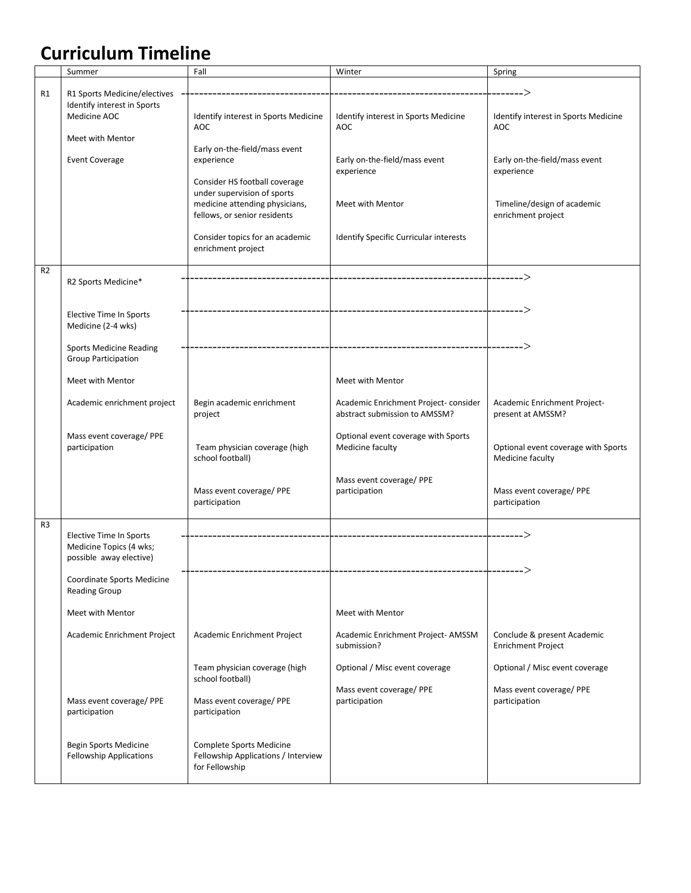# **Curriculum Timeline**

|                | Summer                                    | Fall                                 | Winter                                                                | Spring                                            |
|----------------|-------------------------------------------|--------------------------------------|-----------------------------------------------------------------------|---------------------------------------------------|
|                |                                           |                                      |                                                                       |                                                   |
| R1             | R1 Sports Medicine/electives              |                                      |                                                                       |                                                   |
|                | Identify interest in Sports               |                                      |                                                                       |                                                   |
|                | Medicine AOC                              | Identify interest in Sports Medicine | Identify interest in Sports Medicine                                  | Identify interest in Sports Medicine              |
|                |                                           | <b>AOC</b>                           | AOC                                                                   | <b>AOC</b>                                        |
|                | Meet with Mentor                          |                                      |                                                                       |                                                   |
|                |                                           | Early on-the-field/mass event        |                                                                       |                                                   |
|                | <b>Event Coverage</b>                     | experience                           | Early on-the-field/mass event                                         | Early on-the-field/mass event                     |
|                |                                           |                                      | experience                                                            | experience                                        |
|                |                                           | Consider HS football coverage        |                                                                       |                                                   |
|                |                                           | under supervision of sports          |                                                                       |                                                   |
|                |                                           | medicine attending physicians,       | Meet with Mentor                                                      | Timeline/design of academic                       |
|                |                                           | fellows, or senior residents         |                                                                       | enrichment project                                |
|                |                                           |                                      |                                                                       |                                                   |
|                |                                           | Consider topics for an academic      | Identify Specific Curricular interests                                |                                                   |
|                |                                           | enrichment project                   |                                                                       |                                                   |
|                |                                           |                                      |                                                                       |                                                   |
| R <sub>2</sub> |                                           |                                      |                                                                       |                                                   |
|                | R2 Sports Medicine*                       |                                      |                                                                       |                                                   |
|                |                                           |                                      |                                                                       |                                                   |
|                |                                           |                                      |                                                                       |                                                   |
|                | <b>Elective Time In Sports</b>            |                                      |                                                                       |                                                   |
|                | Medicine (2-4 wks)                        |                                      |                                                                       |                                                   |
|                |                                           |                                      |                                                                       |                                                   |
|                | <b>Sports Medicine Reading</b>            |                                      |                                                                       |                                                   |
|                | <b>Group Participation</b>                |                                      |                                                                       |                                                   |
|                |                                           |                                      |                                                                       |                                                   |
|                | Meet with Mentor                          |                                      | Meet with Mentor                                                      |                                                   |
|                |                                           |                                      |                                                                       |                                                   |
|                | Academic enrichment project               | Begin academic enrichment            | Academic Enrichment Project-consider<br>abstract submission to AMSSM? | Academic Enrichment Project-<br>present at AMSSM? |
|                |                                           | project                              |                                                                       |                                                   |
|                | Mass event coverage/ PPE                  |                                      | Optional event coverage with Sports                                   |                                                   |
|                | participation                             | Team physician coverage (high        | Medicine faculty                                                      | Optional event coverage with Sports               |
|                |                                           | school football)                     |                                                                       | Medicine faculty                                  |
|                |                                           |                                      |                                                                       |                                                   |
|                |                                           |                                      | Mass event coverage/ PPE                                              |                                                   |
|                |                                           | Mass event coverage/ PPE             | participation                                                         | Mass event coverage/ PPE                          |
|                |                                           | participation                        |                                                                       | participation                                     |
|                |                                           |                                      |                                                                       |                                                   |
| R <sub>3</sub> |                                           |                                      |                                                                       |                                                   |
|                | <b>Elective Time In Sports</b>            |                                      |                                                                       |                                                   |
|                | Medicine Topics (4 wks;                   |                                      |                                                                       |                                                   |
|                | possible away elective)                   |                                      |                                                                       |                                                   |
|                |                                           |                                      |                                                                       |                                                   |
|                | Coordinate Sports Medicine                |                                      |                                                                       |                                                   |
|                | <b>Reading Group</b>                      |                                      |                                                                       |                                                   |
|                |                                           |                                      |                                                                       |                                                   |
|                | Meet with Mentor                          |                                      | Meet with Mentor                                                      |                                                   |
|                |                                           |                                      |                                                                       |                                                   |
|                | Academic Enrichment Project               | Academic Enrichment Project          | Academic Enrichment Project-AMSSM                                     | Conclude & present Academic                       |
|                |                                           |                                      | submission?                                                           | <b>Enrichment Project</b>                         |
|                |                                           |                                      |                                                                       |                                                   |
|                |                                           | Team physician coverage (high        | Optional / Misc event coverage                                        | Optional / Misc event coverage                    |
|                |                                           | school football)                     |                                                                       |                                                   |
|                |                                           |                                      | Mass event coverage/ PPE                                              | Mass event coverage/ PPE                          |
|                | Mass event coverage/ PPE<br>participation | Mass event coverage/ PPE             | participation                                                         | participation                                     |
|                |                                           | participation                        |                                                                       |                                                   |
|                |                                           |                                      |                                                                       |                                                   |
|                | <b>Begin Sports Medicine</b>              | <b>Complete Sports Medicine</b>      |                                                                       |                                                   |
|                | <b>Fellowship Applications</b>            | Fellowship Applications / Interview  |                                                                       |                                                   |
|                |                                           | for Fellowship                       |                                                                       |                                                   |
|                |                                           |                                      |                                                                       |                                                   |
|                |                                           |                                      |                                                                       |                                                   |